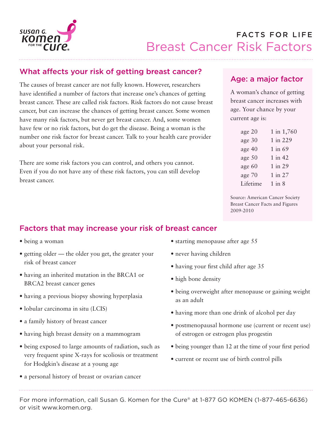

# What affects your risk of getting breast cancer?

The causes of breast cancer are not fully known. However, researchers have identified a number of factors that increase one's chances of getting breast cancer. These are called risk factors. Risk factors do not cause breast cancer, but can increase the chances of getting breast cancer. Some women have many risk factors, but never get breast cancer. And, some women have few or no risk factors, but do get the disease. Being a woman is the number one risk factor for breast cancer. Talk to your health care provider about your personal risk.

There are some risk factors you can control, and others you cannot. Even if you do not have any of these risk factors, you can still develop breast cancer.

## Age: a major factor

A woman's chance of getting breast cancer increases with age. Your chance by your current age is:

| age 20   | 1 in 1,760  |
|----------|-------------|
| age 30   | 1 in 229    |
| age 40   | 1 in 69     |
| age 50   | $1$ in $42$ |
| age 60   | 1 in 29     |
| age 70   | 1 in 27     |
| Lifetime | $1$ in $8$  |

Source: American Cancer Society Breast Cancer Facts and Figures 2009-2010

# Factors that may increase your risk of breast cancer

- being a woman
- getting older the older you get, the greater your risk of breast cancer
- having an inherited mutation in the BRCA1 or BRCA2 breast cancer genes
- having a previous biopsy showing hyperplasia
- lobular carcinoma in situ (LCIS)
- a family history of breast cancer
- having high breast density on a mammogram
- being exposed to large amounts of radiation, such as very frequent spine X-rays for scoliosis or treatment for Hodgkin's disease at a young age
- a personal history of breast or ovarian cancer
- starting menopause after age 55
- never having children
- having your first child after age 35
- high bone density
- being overweight after menopause or gaining weight as an adult
- having more than one drink of alcohol per day
- postmenopausal hormone use (current or recent use) of estrogen or estrogen plus progestin
- being younger than 12 at the time of your first period
- current or recent use of birth control pills

For more information, call Susan G. Komen for the Cure® at 1-877 GO KOMEN (1-877-465-6636) or visit www.komen.org.